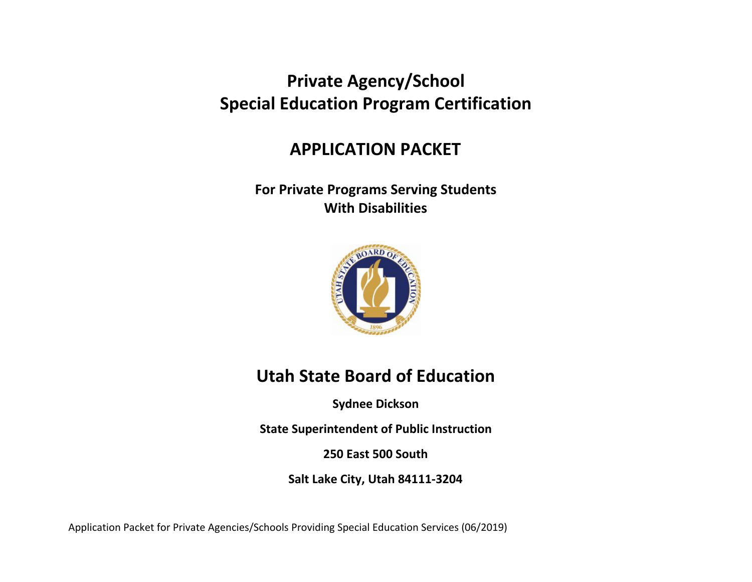# **Private Agency/School Special Education Program Certification**

## **APPLICATION PACKET**

### **For Private Programs Serving Students With Disabilities**



# **Utah State Board of Education**

**Sydnee Dickson**

**State Superintendent of Public Instruction**

**250 East 500 South**

**Salt Lake City, Utah 84111-3204**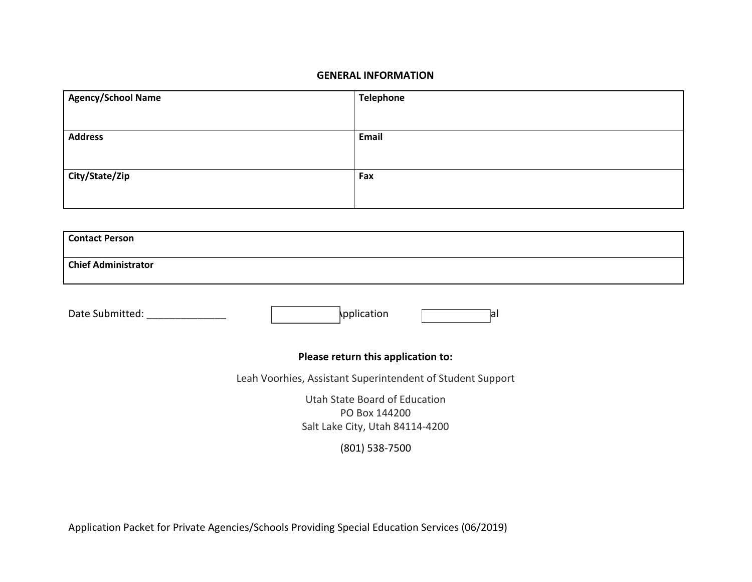#### **GENERAL INFORMATION**

| <b>Agency/School Name</b> | <b>Telephone</b> |
|---------------------------|------------------|
|                           |                  |
| <b>Address</b>            | Email            |
|                           |                  |
| City/State/Zip            | Fax              |
|                           |                  |
|                           |                  |

| <b>Contact Person</b>                                                             |
|-----------------------------------------------------------------------------------|
| <b>Chief Administrator</b>                                                        |
| pplication<br>Date Submitted:<br>lal                                              |
| Please return this application to:                                                |
| Leah Voorhies, Assistant Superintendent of Student Support                        |
| Utah State Board of Education<br>PO Box 144200<br>Salt Lake City, Utah 84114-4200 |
| $(801)$ 538-7500                                                                  |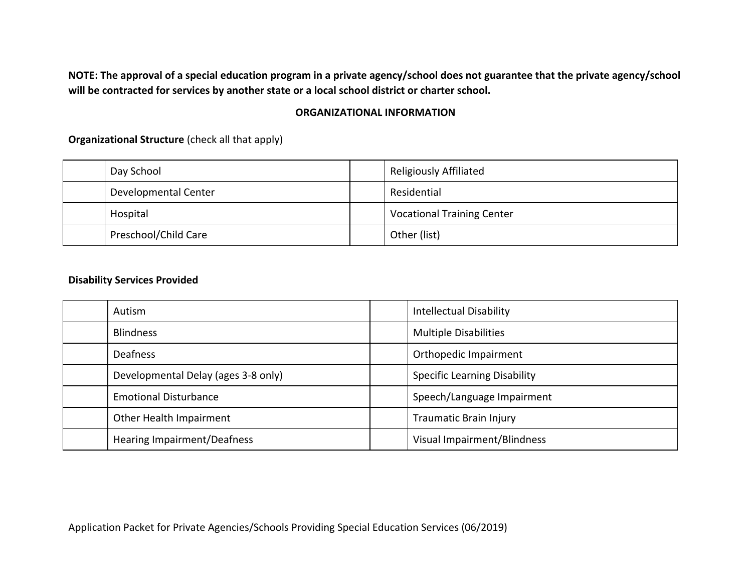**NOTE: The approval of a special education program in a private agency/school does not guarantee that the private agency/school will be contracted for services by another state or a local school district or charter school.**

#### **ORGANIZATIONAL INFORMATION**

**Organizational Structure** (check all that apply)

| Day School           | <b>Religiously Affiliated</b>     |
|----------------------|-----------------------------------|
| Developmental Center | Residential                       |
| Hospital             | <b>Vocational Training Center</b> |
| Preschool/Child Care | Other (list)                      |

#### **Disability Services Provided**

| Autism                              | <b>Intellectual Disability</b>      |
|-------------------------------------|-------------------------------------|
| <b>Blindness</b>                    | <b>Multiple Disabilities</b>        |
| <b>Deafness</b>                     | Orthopedic Impairment               |
| Developmental Delay (ages 3-8 only) | <b>Specific Learning Disability</b> |
| <b>Emotional Disturbance</b>        | Speech/Language Impairment          |
| Other Health Impairment             | Traumatic Brain Injury              |
| Hearing Impairment/Deafness         | Visual Impairment/Blindness         |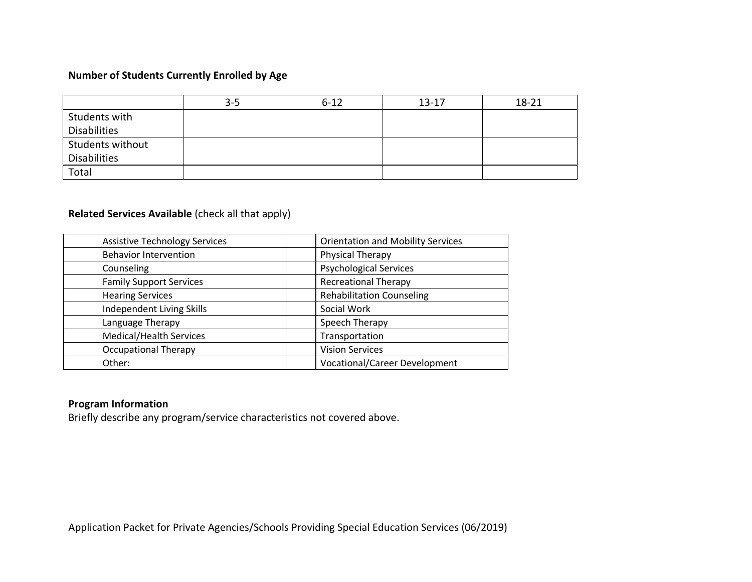#### **Number of Students Currently Enrolled by Age**

|                     | $3 - 5$ | $6 - 12$ | $13 - 17$ | $18 - 21$ |
|---------------------|---------|----------|-----------|-----------|
| Students with       |         |          |           |           |
| <b>Disabilities</b> |         |          |           |           |
| Students without    |         |          |           |           |
| <b>Disabilities</b> |         |          |           |           |
| Total               |         |          |           |           |

#### **Related Services Available** (check all that apply)

| <b>Assistive Technology Services</b> | <b>Orientation and Mobility Services</b> |
|--------------------------------------|------------------------------------------|
| <b>Behavior Intervention</b>         | Physical Therapy                         |
| Counseling                           | <b>Psychological Services</b>            |
| <b>Family Support Services</b>       | <b>Recreational Therapy</b>              |
| <b>Hearing Services</b>              | <b>Rehabilitation Counseling</b>         |
| Independent Living Skills            | Social Work                              |
| Language Therapy                     | Speech Therapy                           |
| Medical/Health Services              | Transportation                           |
| <b>Occupational Therapy</b>          | <b>Vision Services</b>                   |
| Other:                               | <b>Vocational/Career Development</b>     |

#### **Program Information**

Briefly describe any program/service characteristics not covered above.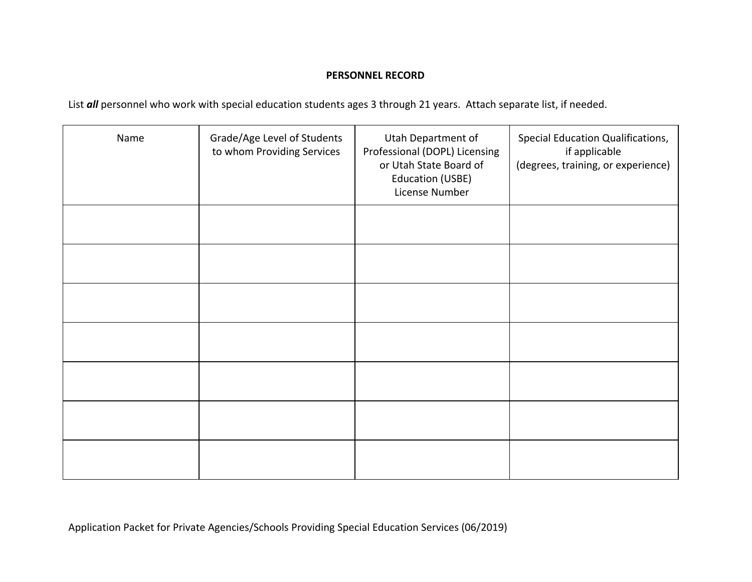#### **PERSONNEL RECORD**

List *all* personnel who work with special education students ages 3 through 21 years. Attach separate list, if needed.

| Name | Grade/Age Level of Students<br>to whom Providing Services | Utah Department of<br>Professional (DOPL) Licensing<br>or Utah State Board of<br><b>Education (USBE)</b><br>License Number | Special Education Qualifications,<br>if applicable<br>(degrees, training, or experience) |
|------|-----------------------------------------------------------|----------------------------------------------------------------------------------------------------------------------------|------------------------------------------------------------------------------------------|
|      |                                                           |                                                                                                                            |                                                                                          |
|      |                                                           |                                                                                                                            |                                                                                          |
|      |                                                           |                                                                                                                            |                                                                                          |
|      |                                                           |                                                                                                                            |                                                                                          |
|      |                                                           |                                                                                                                            |                                                                                          |
|      |                                                           |                                                                                                                            |                                                                                          |
|      |                                                           |                                                                                                                            |                                                                                          |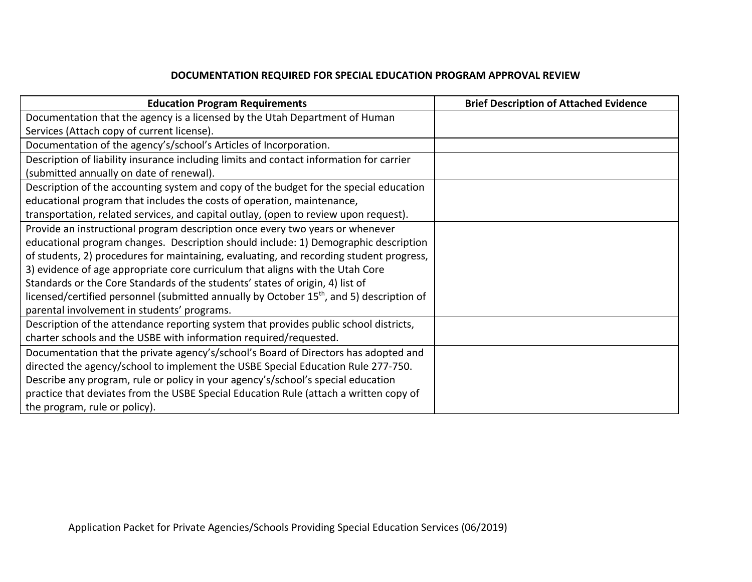#### **DOCUMENTATION REQUIRED FOR SPECIAL EDUCATION PROGRAM APPROVAL REVIEW**

| <b>Education Program Requirements</b>                                                                | <b>Brief Description of Attached Evidence</b> |
|------------------------------------------------------------------------------------------------------|-----------------------------------------------|
| Documentation that the agency is a licensed by the Utah Department of Human                          |                                               |
| Services (Attach copy of current license).                                                           |                                               |
| Documentation of the agency's/school's Articles of Incorporation.                                    |                                               |
| Description of liability insurance including limits and contact information for carrier              |                                               |
| (submitted annually on date of renewal).                                                             |                                               |
| Description of the accounting system and copy of the budget for the special education                |                                               |
| educational program that includes the costs of operation, maintenance,                               |                                               |
| transportation, related services, and capital outlay, (open to review upon request).                 |                                               |
| Provide an instructional program description once every two years or whenever                        |                                               |
| educational program changes. Description should include: 1) Demographic description                  |                                               |
| of students, 2) procedures for maintaining, evaluating, and recording student progress,              |                                               |
| 3) evidence of age appropriate core curriculum that aligns with the Utah Core                        |                                               |
| Standards or the Core Standards of the students' states of origin, 4) list of                        |                                               |
| licensed/certified personnel (submitted annually by October 15 <sup>th</sup> , and 5) description of |                                               |
| parental involvement in students' programs.                                                          |                                               |
| Description of the attendance reporting system that provides public school districts,                |                                               |
| charter schools and the USBE with information required/requested.                                    |                                               |
| Documentation that the private agency's/school's Board of Directors has adopted and                  |                                               |
| directed the agency/school to implement the USBE Special Education Rule 277-750.                     |                                               |
| Describe any program, rule or policy in your agency's/school's special education                     |                                               |
| practice that deviates from the USBE Special Education Rule (attach a written copy of                |                                               |
| the program, rule or policy).                                                                        |                                               |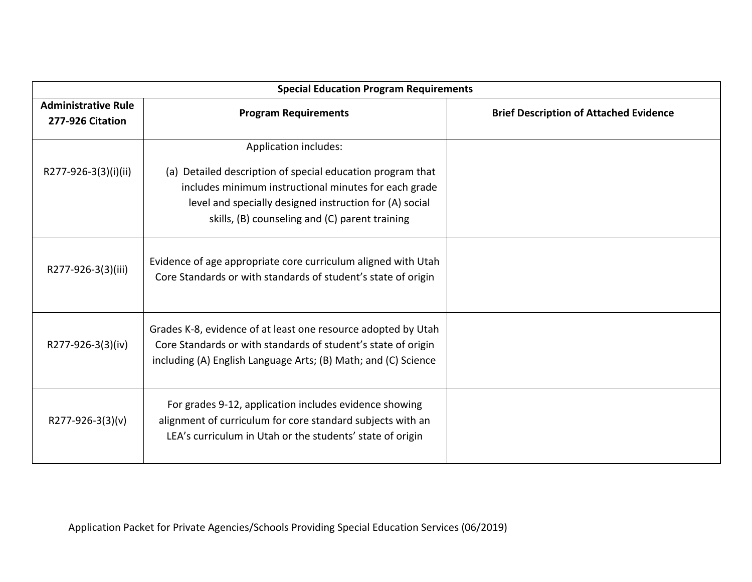| <b>Special Education Program Requirements</b>  |                                                                                                                                                                                                                                                           |                                               |  |
|------------------------------------------------|-----------------------------------------------------------------------------------------------------------------------------------------------------------------------------------------------------------------------------------------------------------|-----------------------------------------------|--|
| <b>Administrative Rule</b><br>277-926 Citation | <b>Program Requirements</b>                                                                                                                                                                                                                               | <b>Brief Description of Attached Evidence</b> |  |
| R277-926-3(3)(i)(ii)                           | Application includes:<br>(a) Detailed description of special education program that<br>includes minimum instructional minutes for each grade<br>level and specially designed instruction for (A) social<br>skills, (B) counseling and (C) parent training |                                               |  |
| R277-926-3(3)(iii)                             | Evidence of age appropriate core curriculum aligned with Utah<br>Core Standards or with standards of student's state of origin                                                                                                                            |                                               |  |
| R277-926-3(3)(iv)                              | Grades K-8, evidence of at least one resource adopted by Utah<br>Core Standards or with standards of student's state of origin<br>including (A) English Language Arts; (B) Math; and (C) Science                                                          |                                               |  |
| R277-926-3(3)(v)                               | For grades 9-12, application includes evidence showing<br>alignment of curriculum for core standard subjects with an<br>LEA's curriculum in Utah or the students' state of origin                                                                         |                                               |  |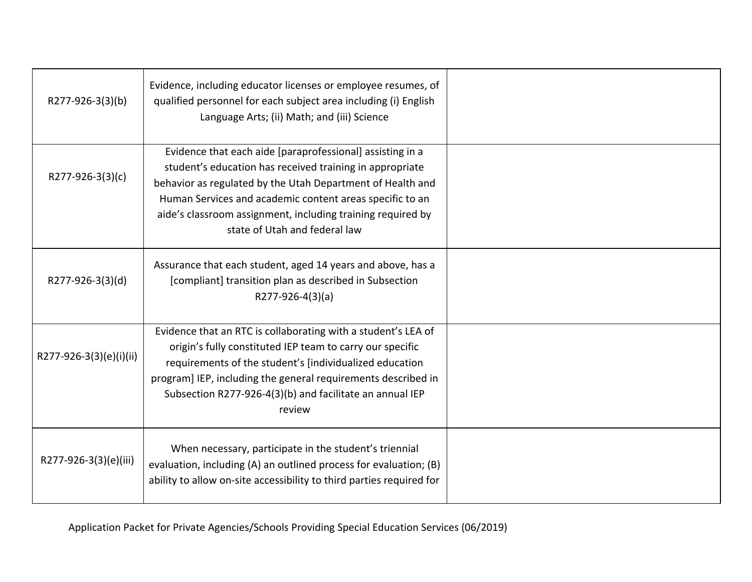| R277-926-3(3)(b)        | Evidence, including educator licenses or employee resumes, of<br>qualified personnel for each subject area including (i) English<br>Language Arts; (ii) Math; and (iii) Science                                                                                                                                                                 |  |
|-------------------------|-------------------------------------------------------------------------------------------------------------------------------------------------------------------------------------------------------------------------------------------------------------------------------------------------------------------------------------------------|--|
| R277-926-3(3)(c)        | Evidence that each aide [paraprofessional] assisting in a<br>student's education has received training in appropriate<br>behavior as regulated by the Utah Department of Health and<br>Human Services and academic content areas specific to an<br>aide's classroom assignment, including training required by<br>state of Utah and federal law |  |
| R277-926-3(3)(d)        | Assurance that each student, aged 14 years and above, has a<br>[compliant] transition plan as described in Subsection<br>R277-926-4(3)(a)                                                                                                                                                                                                       |  |
| R277-926-3(3)(e)(i)(ii) | Evidence that an RTC is collaborating with a student's LEA of<br>origin's fully constituted IEP team to carry our specific<br>requirements of the student's [individualized education<br>program] IEP, including the general requirements described in<br>Subsection R277-926-4(3)(b) and facilitate an annual IEP<br>review                    |  |
| R277-926-3(3)(e)(iii)   | When necessary, participate in the student's triennial<br>evaluation, including (A) an outlined process for evaluation; (B)<br>ability to allow on-site accessibility to third parties required for                                                                                                                                             |  |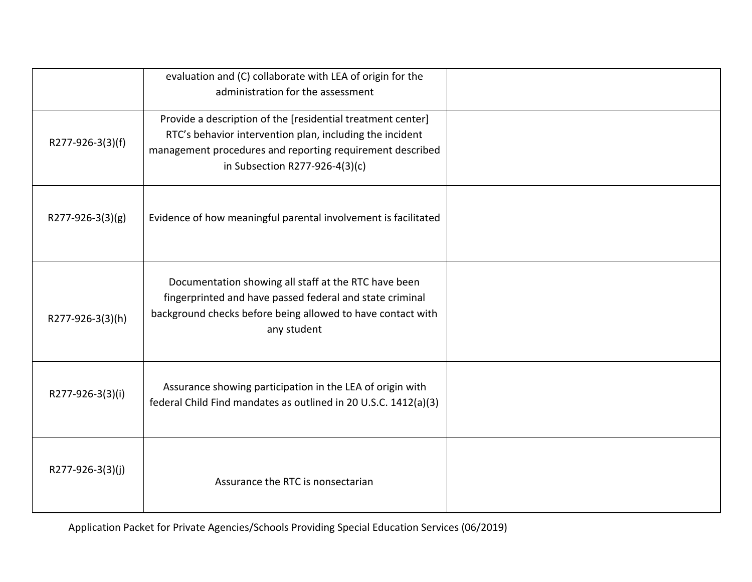|                  | evaluation and (C) collaborate with LEA of origin for the<br>administration for the assessment                                                                                                                         |  |
|------------------|------------------------------------------------------------------------------------------------------------------------------------------------------------------------------------------------------------------------|--|
| R277-926-3(3)(f) | Provide a description of the [residential treatment center]<br>RTC's behavior intervention plan, including the incident<br>management procedures and reporting requirement described<br>in Subsection R277-926-4(3)(c) |  |
| R277-926-3(3)(g) | Evidence of how meaningful parental involvement is facilitated                                                                                                                                                         |  |
| R277-926-3(3)(h) | Documentation showing all staff at the RTC have been<br>fingerprinted and have passed federal and state criminal<br>background checks before being allowed to have contact with<br>any student                         |  |
| R277-926-3(3)(i) | Assurance showing participation in the LEA of origin with<br>federal Child Find mandates as outlined in 20 U.S.C. 1412(a)(3)                                                                                           |  |
| R277-926-3(3)(j) | Assurance the RTC is nonsectarian                                                                                                                                                                                      |  |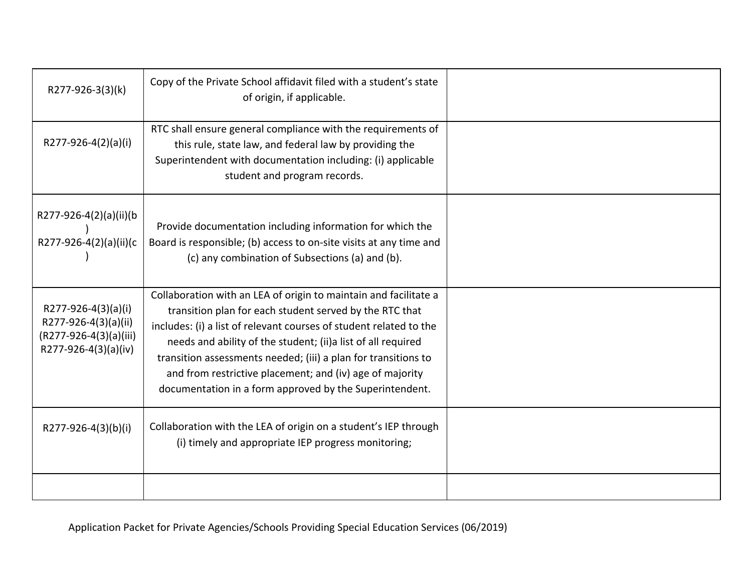| R277-926-3(3)(k)                                                                              | Copy of the Private School affidavit filed with a student's state<br>of origin, if applicable.                                                                                                                                                                                                                                                                                                                                                              |  |
|-----------------------------------------------------------------------------------------------|-------------------------------------------------------------------------------------------------------------------------------------------------------------------------------------------------------------------------------------------------------------------------------------------------------------------------------------------------------------------------------------------------------------------------------------------------------------|--|
| R277-926-4(2)(a)(i)                                                                           | RTC shall ensure general compliance with the requirements of<br>this rule, state law, and federal law by providing the<br>Superintendent with documentation including: (i) applicable<br>student and program records.                                                                                                                                                                                                                                       |  |
| R277-926-4(2)(a)(ii)(b<br>R277-926-4(2)(a)(ii)(c                                              | Provide documentation including information for which the<br>Board is responsible; (b) access to on-site visits at any time and<br>(c) any combination of Subsections (a) and (b).                                                                                                                                                                                                                                                                          |  |
| R277-926-4(3)(a)(i)<br>R277-926-4(3)(a)(ii)<br>(R277-926-4(3)(a)(iii)<br>R277-926-4(3)(a)(iv) | Collaboration with an LEA of origin to maintain and facilitate a<br>transition plan for each student served by the RTC that<br>includes: (i) a list of relevant courses of student related to the<br>needs and ability of the student; (ii) a list of all required<br>transition assessments needed; (iii) a plan for transitions to<br>and from restrictive placement; and (iv) age of majority<br>documentation in a form approved by the Superintendent. |  |
| R277-926-4(3)(b)(i)                                                                           | Collaboration with the LEA of origin on a student's IEP through<br>(i) timely and appropriate IEP progress monitoring;                                                                                                                                                                                                                                                                                                                                      |  |
|                                                                                               |                                                                                                                                                                                                                                                                                                                                                                                                                                                             |  |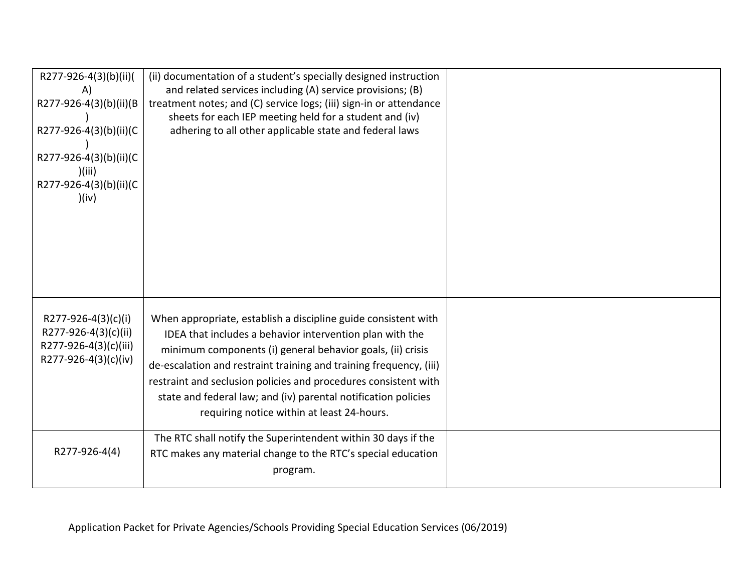| R277-926-4(3)(b)(ii)(<br>A)<br>R277-926-4(3)(b)(ii)(B<br>R277-926-4(3)(b)(ii)(C<br>R277-926-4(3)(b)(ii)(C<br>)(iii)<br>R277-926-4(3)(b)(ii)(C<br>)(iv) | (ii) documentation of a student's specially designed instruction<br>and related services including (A) service provisions; (B)<br>treatment notes; and (C) service logs; (iii) sign-in or attendance<br>sheets for each IEP meeting held for a student and (iv)<br>adhering to all other applicable state and federal laws                                                                                                                        |  |
|--------------------------------------------------------------------------------------------------------------------------------------------------------|---------------------------------------------------------------------------------------------------------------------------------------------------------------------------------------------------------------------------------------------------------------------------------------------------------------------------------------------------------------------------------------------------------------------------------------------------|--|
| R277-926-4(3)(c)(i)<br>R277-926-4(3)(c)(ii)<br>R277-926-4(3)(c)(iii)<br>R277-926-4(3)(c)(iv)                                                           | When appropriate, establish a discipline guide consistent with<br>IDEA that includes a behavior intervention plan with the<br>minimum components (i) general behavior goals, (ii) crisis<br>de-escalation and restraint training and training frequency, (iii)<br>restraint and seclusion policies and procedures consistent with<br>state and federal law; and (iv) parental notification policies<br>requiring notice within at least 24-hours. |  |
| R277-926-4(4)                                                                                                                                          | The RTC shall notify the Superintendent within 30 days if the<br>RTC makes any material change to the RTC's special education<br>program.                                                                                                                                                                                                                                                                                                         |  |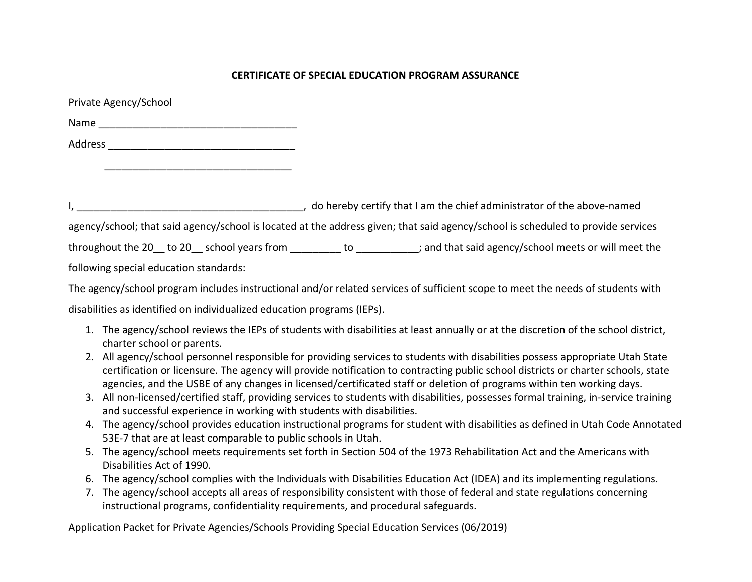#### **CERTIFICATE OF SPECIAL EDUCATION PROGRAM ASSURANCE**

| Private Agency/School                                                                                                            |  |                                                                                               |  |  |
|----------------------------------------------------------------------------------------------------------------------------------|--|-----------------------------------------------------------------------------------------------|--|--|
|                                                                                                                                  |  |                                                                                               |  |  |
|                                                                                                                                  |  |                                                                                               |  |  |
|                                                                                                                                  |  |                                                                                               |  |  |
|                                                                                                                                  |  |                                                                                               |  |  |
|                                                                                                                                  |  | , do hereby certify that I am the chief administrator of the above-named                      |  |  |
| agency/school; that said agency/school is located at the address given; that said agency/school is scheduled to provide services |  |                                                                                               |  |  |
|                                                                                                                                  |  | throughout the 20 to 20 school years from to to the said agency/school meets or will meet the |  |  |
| following special education standards:                                                                                           |  |                                                                                               |  |  |
|                                                                                                                                  |  |                                                                                               |  |  |

The agency/school program includes instructional and/or related services of sufficient scope to meet the needs of students with

disabilities as identified on individualized education programs (IEPs).

- 1. The agency/school reviews the IEPs of students with disabilities at least annually or at the discretion of the school district, charter school or parents.
- 2. All agency/school personnel responsible for providing services to students with disabilities possess appropriate Utah State certification or licensure. The agency will provide notification to contracting public school districts or charter schools, state agencies, and the USBE of any changes in licensed/certificated staff or deletion of programs within ten working days.
- 3. All non-licensed/certified staff, providing services to students with disabilities, possesses formal training, in-service training and successful experience in working with students with disabilities.
- 4. The agency/school provides education instructional programs for student with disabilities as defined in Utah Code Annotated 53E-7 that are at least comparable to public schools in Utah.
- 5. The agency/school meets requirements set forth in Section 504 of the 1973 Rehabilitation Act and the Americans with Disabilities Act of 1990.
- 6. The agency/school complies with the Individuals with Disabilities Education Act (IDEA) and its implementing regulations.
- 7. The agency/school accepts all areas of responsibility consistent with those of federal and state regulations concerning instructional programs, confidentiality requirements, and procedural safeguards.